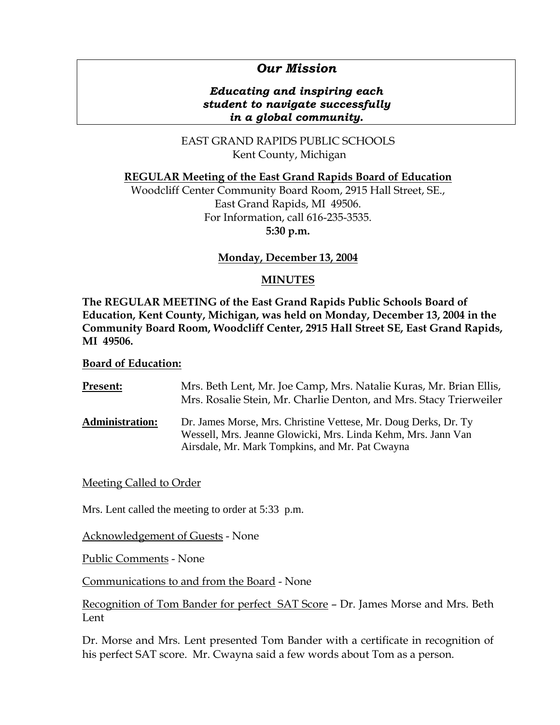# *Our Mission*

### *Educating and inspiring each student to navigate successfully in a global community.*

EAST GRAND RAPIDS PUBLIC SCHOOLS Kent County, Michigan

### **REGULAR Meeting of the East Grand Rapids Board of Education**

Woodcliff Center Community Board Room, 2915 Hall Street, SE., East Grand Rapids, MI 49506. For Information, call 616-235-3535. **5:30 p.m.**

### **Monday, December 13, 2004**

### **MINUTES**

**The REGULAR MEETING of the East Grand Rapids Public Schools Board of Education, Kent County, Michigan, was held on Monday, December 13, 2004 in the Community Board Room, Woodcliff Center, 2915 Hall Street SE, East Grand Rapids, MI 49506.** 

#### **Board of Education:**

| Present:               | Mrs. Beth Lent, Mr. Joe Camp, Mrs. Natalie Kuras, Mr. Brian Ellis,<br>Mrs. Rosalie Stein, Mr. Charlie Denton, and Mrs. Stacy Trierweiler                                            |
|------------------------|-------------------------------------------------------------------------------------------------------------------------------------------------------------------------------------|
| <b>Administration:</b> | Dr. James Morse, Mrs. Christine Vettese, Mr. Doug Derks, Dr. Ty<br>Wessell, Mrs. Jeanne Glowicki, Mrs. Linda Kehm, Mrs. Jann Van<br>Airsdale, Mr. Mark Tompkins, and Mr. Pat Cwayna |

### Meeting Called to Order

Mrs. Lent called the meeting to order at 5:33 p.m.

Acknowledgement of Guests - None

Public Comments - None

Communications to and from the Board - None

Recognition of Tom Bander for perfect SAT Score – Dr. James Morse and Mrs. Beth Lent

Dr. Morse and Mrs. Lent presented Tom Bander with a certificate in recognition of his perfect SAT score. Mr. Cwayna said a few words about Tom as a person.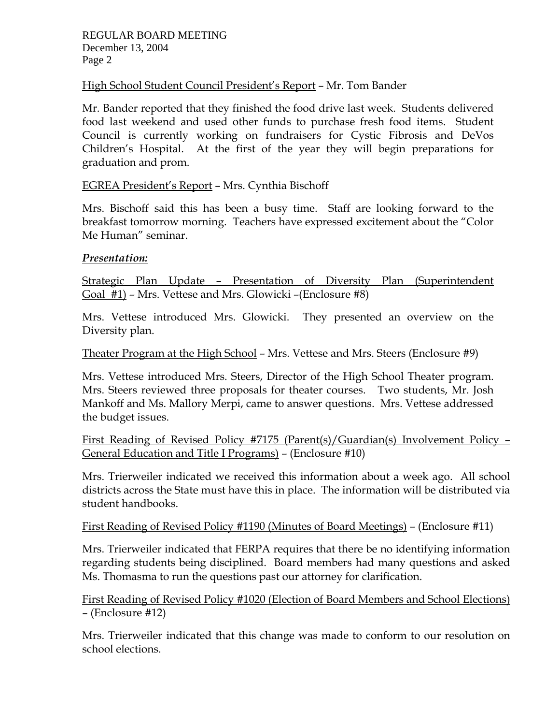## High School Student Council President's Report – Mr. Tom Bander

Mr. Bander reported that they finished the food drive last week. Students delivered food last weekend and used other funds to purchase fresh food items. Student Council is currently working on fundraisers for Cystic Fibrosis and DeVos Children's Hospital. At the first of the year they will begin preparations for graduation and prom.

# EGREA President's Report – Mrs. Cynthia Bischoff

Mrs. Bischoff said this has been a busy time. Staff are looking forward to the breakfast tomorrow morning. Teachers have expressed excitement about the "Color Me Human" seminar.

### *Presentation:*

Strategic Plan Update – Presentation of Diversity Plan (Superintendent Goal #1) – Mrs. Vettese and Mrs. Glowicki –(Enclosure #8)

Mrs. Vettese introduced Mrs. Glowicki. They presented an overview on the Diversity plan.

Theater Program at the High School – Mrs. Vettese and Mrs. Steers (Enclosure #9)

Mrs. Vettese introduced Mrs. Steers, Director of the High School Theater program. Mrs. Steers reviewed three proposals for theater courses. Two students, Mr. Josh Mankoff and Ms. Mallory Merpi, came to answer questions. Mrs. Vettese addressed the budget issues.

First Reading of Revised Policy #7175 (Parent(s)/Guardian(s) Involvement Policy – General Education and Title I Programs) – (Enclosure #10)

Mrs. Trierweiler indicated we received this information about a week ago. All school districts across the State must have this in place. The information will be distributed via student handbooks.

# First Reading of Revised Policy #1190 (Minutes of Board Meetings) – (Enclosure #11)

Mrs. Trierweiler indicated that FERPA requires that there be no identifying information regarding students being disciplined. Board members had many questions and asked Ms. Thomasma to run the questions past our attorney for clarification.

First Reading of Revised Policy #1020 (Election of Board Members and School Elections) – (Enclosure #12)

Mrs. Trierweiler indicated that this change was made to conform to our resolution on school elections.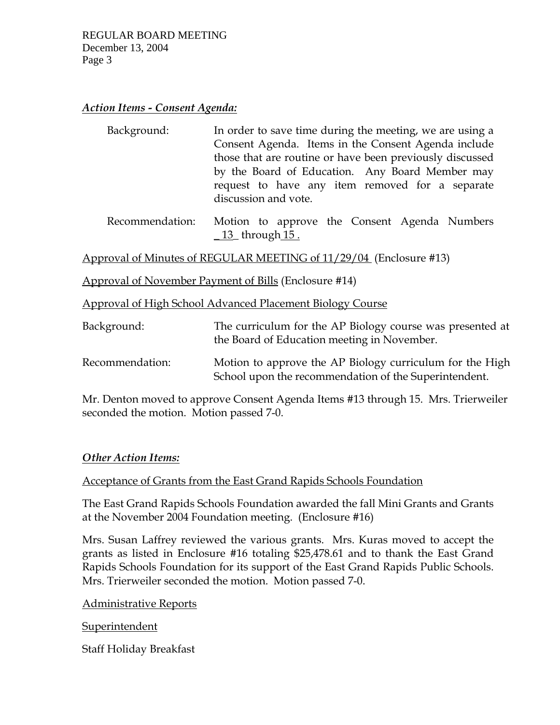### *Action Items - Consent Agenda:*

| Background: | In order to save time during the meeting, we are using a |
|-------------|----------------------------------------------------------|
|             | Consent Agenda. Items in the Consent Agenda include      |
|             | those that are routine or have been previously discussed |
|             | by the Board of Education. Any Board Member may          |
|             | request to have any item removed for a separate          |
|             | discussion and vote.                                     |

 Recommendation: Motion to approve the Consent Agenda Numbers  $\underline{\hspace{1cm}} 13$  through  $\underline{\hspace{1cm}} 15$ .

Approval of Minutes of REGULAR MEETING of 11/29/04 (Enclosure #13)

Approval of November Payment of Bills (Enclosure #14)

Approval of High School Advanced Placement Biology Course

| Background:     | The curriculum for the AP Biology course was presented at<br>the Board of Education meeting in November.          |
|-----------------|-------------------------------------------------------------------------------------------------------------------|
| Recommendation: | Motion to approve the AP Biology curriculum for the High<br>School upon the recommendation of the Superintendent. |

Mr. Denton moved to approve Consent Agenda Items #13 through 15. Mrs. Trierweiler seconded the motion. Motion passed 7-0.

### *Other Action Items:*

### Acceptance of Grants from the East Grand Rapids Schools Foundation

The East Grand Rapids Schools Foundation awarded the fall Mini Grants and Grants at the November 2004 Foundation meeting. (Enclosure #16)

Mrs. Susan Laffrey reviewed the various grants. Mrs. Kuras moved to accept the grants as listed in Enclosure #16 totaling \$25,478.61 and to thank the East Grand Rapids Schools Foundation for its support of the East Grand Rapids Public Schools. Mrs. Trierweiler seconded the motion. Motion passed 7-0.

### Administrative Reports

Superintendent

Staff Holiday Breakfast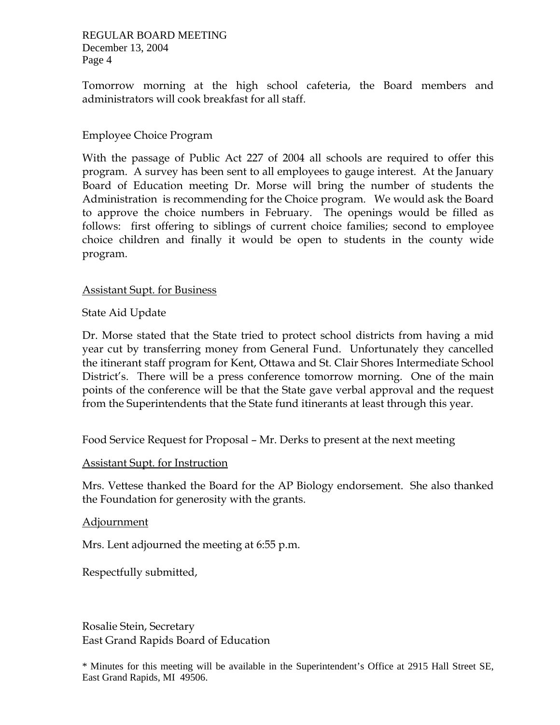REGULAR BOARD MEETING December 13, 2004 Page 4

Tomorrow morning at the high school cafeteria, the Board members and administrators will cook breakfast for all staff.

### Employee Choice Program

With the passage of Public Act 227 of 2004 all schools are required to offer this program. A survey has been sent to all employees to gauge interest. At the January Board of Education meeting Dr. Morse will bring the number of students the Administration is recommending for the Choice program. We would ask the Board to approve the choice numbers in February. The openings would be filled as follows: first offering to siblings of current choice families; second to employee choice children and finally it would be open to students in the county wide program.

### Assistant Supt. for Business

State Aid Update

Dr. Morse stated that the State tried to protect school districts from having a mid year cut by transferring money from General Fund. Unfortunately they cancelled the itinerant staff program for Kent, Ottawa and St. Clair Shores Intermediate School District's. There will be a press conference tomorrow morning. One of the main points of the conference will be that the State gave verbal approval and the request from the Superintendents that the State fund itinerants at least through this year.

Food Service Request for Proposal – Mr. Derks to present at the next meeting

### Assistant Supt. for Instruction

Mrs. Vettese thanked the Board for the AP Biology endorsement. She also thanked the Foundation for generosity with the grants.

### Adjournment

Mrs. Lent adjourned the meeting at 6:55 p.m.

Respectfully submitted,

Rosalie Stein, Secretary East Grand Rapids Board of Education

\* Minutes for this meeting will be available in the Superintendent's Office at 2915 Hall Street SE, East Grand Rapids, MI 49506.